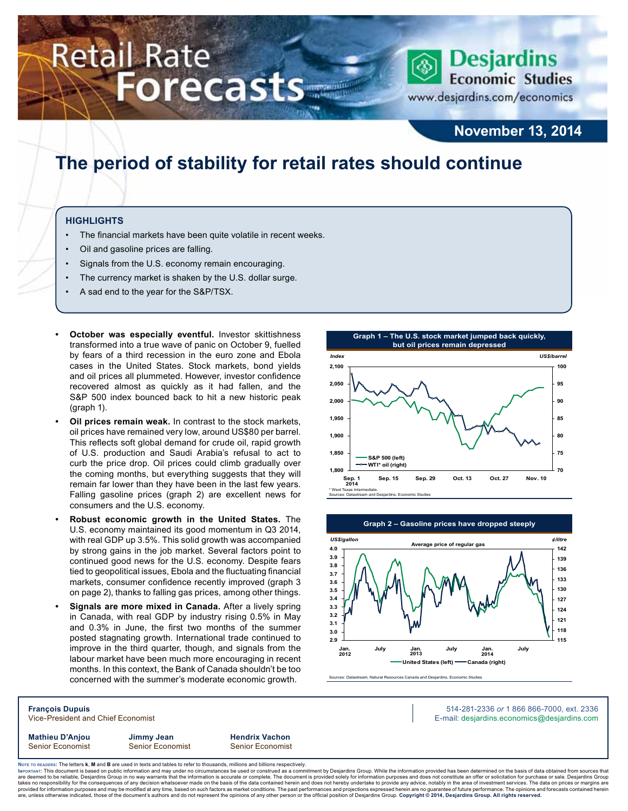# **Retail Rate Forecasts**



www.desjardins.com/economics

### **November 13, 2014**

## **The period of stability for retail rates should continue**

#### **Highlights**

- The financial markets have been quite volatile in recent weeks.
- Oil and gasoline prices are falling.
- Signals from the U.S. economy remain encouraging.
- The currency market is shaken by the U.S. dollar surge.
- A sad end to the year for the S&P/TSX.
- **October was especially eventful.** Investor skittishness transformed into a true wave of panic on October 9, fuelled by fears of a third recession in the euro zone and Ebola cases in the United States. Stock markets, bond yields and oil prices all plummeted. However, investor confidence recovered almost as quickly as it had fallen, and the S&P 500 index bounced back to hit a new historic peak (graph 1).
- **Oil prices remain weak.** In contrast to the stock markets, oil prices have remained very low, around US\$80 per barrel. This reflects soft global demand for crude oil, rapid growth of U.S. production and Saudi Arabia's refusal to act to curb the price drop. Oil prices could climb gradually over the coming months, but everything suggests that they will remain far lower than they have been in the last few years. Falling gasoline prices (graph 2) are excellent news for consumers and the U.S. economy.
- **• Robust economic growth in the United States.** The U.S. economy maintained its good momentum in Q3 2014, with real GDP up 3.5%. This solid growth was accompanied by strong gains in the job market. Several factors point to continued good news for the U.S. economy. Despite fears tied to geopolitical issues, Ebola and the fluctuating financial markets, consumer confidence recently improved (graph 3 on page 2), thanks to falling gas prices, among other things.
- **Signals are more mixed in Canada.** After a lively spring in Canada, with real GDP by industry rising 0.5% in May and 0.3% in June, the first two months of the summer posted stagnating growth. International trade continued to improve in the third quarter, though, and signals from the labour market have been much more encouraging in recent months. In this context, the Bank of Canada shouldn't be too concerned with the summer's moderate economic growth.





es: Datastream, Natural Resources Canada and Desiardins, Economic Studie

**François Dupuis** 514-281-2336 *or* 1 866 866-7000, ext. 2336 Vice-President and Chief Economist **E-mail: designediate and Chief Economist** E-mail: designediate economics@desjardins.com **Mathieu D'Anjou Jimmy Jean Hendrix Vachon** Senior Economist Senior Economist Senior Economist

Noте то келоекs: The letters **k, M** and **B** are used in texts and tables to refer to thousands, millions and billions respectively.<br>Імроктлит: This document is based on public information and may under no circumstances be are deemed to be reliable, Desjardins Group in no way warrants that the information is accurate or complete. The document is provided solely for information purposes and does not constitute an offer or solicitation for pur takes no responsibility for the consequences of any decision whatsoever made on the basis of the data contained herein and does not hereby undertake to provide any advice, notably in the area of investment services. The da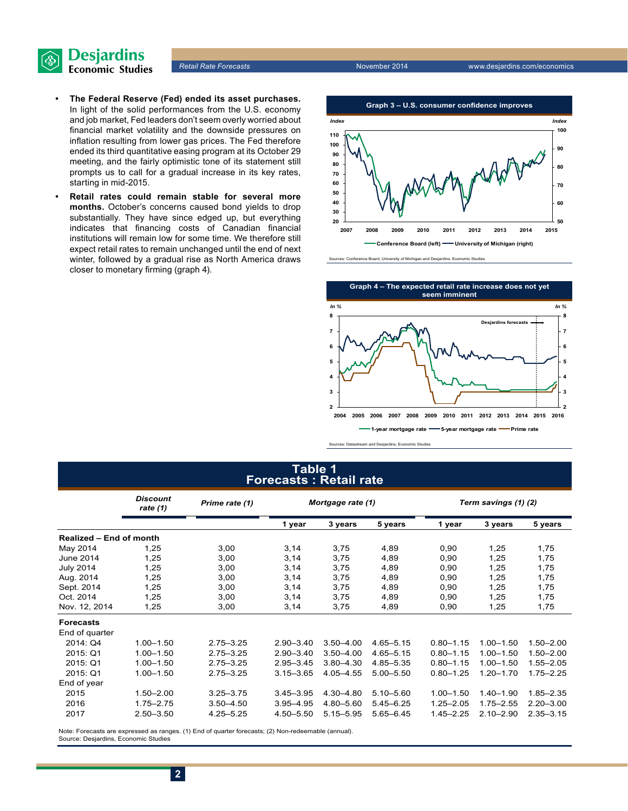

- **• The Federal Reserve (Fed) ended its asset purchases.** In light of the solid performances from the U.S. economy and job market, Fed leaders don't seem overly worried about financial market volatility and the downside pressures on inflation resulting from lower gas prices. The Fed therefore ended its third quantitative easing program at its October 29 meeting, and the fairly optimistic tone of its statement still prompts us to call for a gradual increase in its key rates, starting in mid-2015.
- **• Retail rates could remain stable for several more months.** October's concerns caused bond yields to drop substantially. They have since edged up, but everything indicates that financing costs of Canadian financial institutions will remain low for some time. We therefore still expect retail rates to remain unchanged until the end of next winter, followed by a gradual rise as North America draws closer to monetary firming (graph 4).



oe Board, University of Michigan and Desjardins, Economic Stu



Sources: Datastream and Desjardins, Economic Studies

#### **Table 1 Forecasts : Retail rate**

|                         | <b>Discount</b><br>rate (1) | Prime rate (1) | Mortgage rate (1) |               | Term savings (1) (2) |               |               |               |
|-------------------------|-----------------------------|----------------|-------------------|---------------|----------------------|---------------|---------------|---------------|
|                         |                             |                | 1 year            | 3 years       | 5 years              | 1 year        | 3 years       | 5 years       |
| Realized - End of month |                             |                |                   |               |                      |               |               |               |
| May 2014                | 1,25                        | 3,00           | 3,14              | 3,75          | 4,89                 | 0,90          | 1,25          | 1,75          |
| <b>June 2014</b>        | 1,25                        | 3,00           | 3,14              | 3,75          | 4,89                 | 0,90          | 1,25          | 1,75          |
| <b>July 2014</b>        | 1,25                        | 3,00           | 3,14              | 3,75          | 4,89                 | 0,90          | 1,25          | 1,75          |
| Aug. 2014               | 1,25                        | 3,00           | 3,14              | 3,75          | 4,89                 | 0,90          | 1,25          | 1,75          |
| Sept. 2014              | 1,25                        | 3,00           | 3,14              | 3,75          | 4,89                 | 0,90          | 1,25          | 1,75          |
| Oct. 2014               | 1.25                        | 3,00           | 3,14              | 3,75          | 4,89                 | 0,90          | 1,25          | 1,75          |
| Nov. 12, 2014           | 1,25                        | 3,00           | 3,14              | 3,75          | 4,89                 | 0,90          | 1,25          | 1,75          |
| <b>Forecasts</b>        |                             |                |                   |               |                      |               |               |               |
| End of quarter          |                             |                |                   |               |                      |               |               |               |
| 2014: Q4                | $1.00 - 1.50$               | $2.75 - 3.25$  | $2.90 - 3.40$     | $3.50 - 4.00$ | $4.65 - 5.15$        | $0.80 - 1.15$ | $1.00 - 1.50$ | $1.50 - 2.00$ |
| 2015: Q1                | $1.00 - 1.50$               | $2.75 - 3.25$  | $2.90 - 3.40$     | $3.50 - 4.00$ | $4.65 - 5.15$        | $0.80 - 1.15$ | $1.00 - 1.50$ | $1.50 - 2.00$ |
| 2015: Q1                | $1.00 - 1.50$               | $2.75 - 3.25$  | $2.95 - 3.45$     | $3.80 - 4.30$ | 4.85-5.35            | $0.80 - 1.15$ | $1.00 - 1.50$ | $1.55 - 2.05$ |
| 2015: Q1                | $1.00 - 1.50$               | $2.75 - 3.25$  | $3.15 - 3.65$     | 4.05-4.55     | $5.00 - 5.50$        | $0.80 - 1.25$ | $1.20 - 1.70$ | $1.75 - 2.25$ |
| End of year             |                             |                |                   |               |                      |               |               |               |
| 2015                    | $1.50 - 2.00$               | $3.25 - 3.75$  | $3.45 - 3.95$     | 4.30-4.80     | $5.10 - 5.60$        | $1.00 - 1.50$ | $1.40 - 1.90$ | $1.85 - 2.35$ |
| 2016                    | $1.75 - 2.75$               | $3.50 - 4.50$  | $3.95 - 4.95$     | 4.80-5.60     | $5.45 - 6.25$        | $1.25 - 2.05$ | $1.75 - 2.55$ | $2.20 - 3.00$ |
| 2017                    | $2.50 - 3.50$               | $4.25 - 5.25$  | 4.50 - 5.50       | $5.15 - 5.95$ | $5.65 - 6.45$        | $1.45 - 2.25$ | $2.10 - 2.90$ | $2.35 - 3.15$ |

Note: Forecasts are expressed as ranges. (1) End of quarter forecasts; (2) Non-redeemable (annual). Source: Desjardins, Economic Studies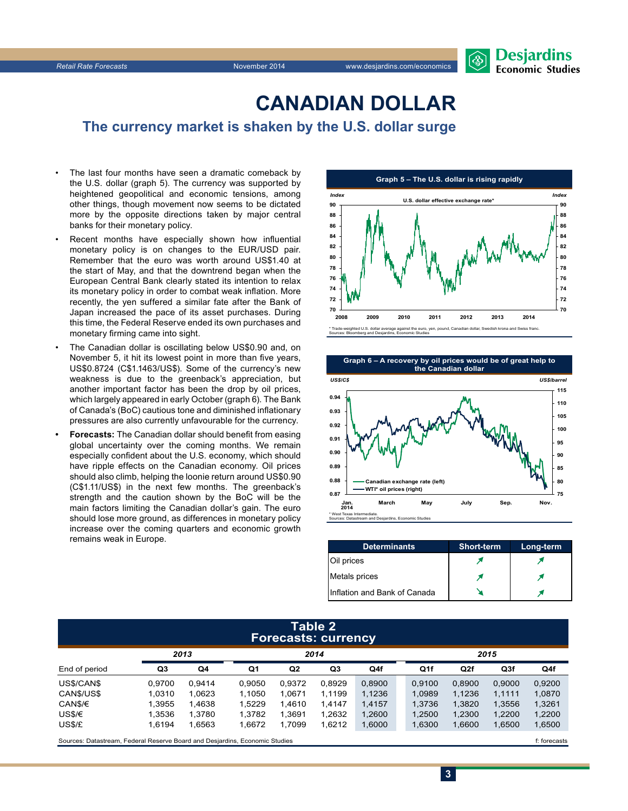

## **CanadiAn Dollar**

**The currency market is shaken by the U.S. dollar surge**

- The last four months have seen a dramatic comeback by the U.S. dollar (graph 5). The currency was supported by heightened geopolitical and economic tensions, among other things, though movement now seems to be dictated more by the opposite directions taken by major central banks for their monetary policy.
- Recent months have especially shown how influential monetary policy is on changes to the EUR/USD pair. Remember that the euro was worth around US\$1.40 at the start of May, and that the downtrend began when the European Central Bank clearly stated its intention to relax its monetary policy in order to combat weak inflation. More recently, the yen suffered a similar fate after the Bank of Japan increased the pace of its asset purchases. During this time, the Federal Reserve ended its own purchases and monetary firming came into sight.
- The Canadian dollar is oscillating below US\$0.90 and, on November 5, it hit its lowest point in more than five years, US\$0.8724 (C\$1.1463/US\$). Some of the currency's new weakness is due to the greenback's appreciation, but another important factor has been the drop by oil prices, which largely appeared in early October (graph 6). The Bank of Canada's (BoC) cautious tone and diminished inflationary pressures are also currently unfavourable for the currency.
- **Forecasts:** The Canadian dollar should benefit from easing global uncertainty over the coming months. We remain especially confident about the U.S. economy, which should have ripple effects on the Canadian economy. Oil prices should also climb, helping the loonie return around US\$0.90 (C\$1.11/US\$) in the next few months. The greenback's strength and the caution shown by the BoC will be the main factors limiting the Canadian dollar's gain. The euro should lose more ground, as differences in monetary policy increase over the coming quarters and economic growth remains weak in Europe.





| <b>Determinants</b>          | <b>Short-term</b> | Long-term |
|------------------------------|-------------------|-----------|
| Oil prices                   |                   |           |
| Metals prices                |                   |           |
| Inflation and Bank of Canada |                   |           |

#### **Table 2 Forecasts: currency**

| . .                                                                         |        |        |        |                |        |        |        |      |              |                 |        |
|-----------------------------------------------------------------------------|--------|--------|--------|----------------|--------|--------|--------|------|--------------|-----------------|--------|
|                                                                             | 2013   |        | 2014   |                |        |        |        | 2015 |              |                 |        |
| End of period                                                               | Q3     | Q4     | Q1     | Q <sub>2</sub> | Q3     | Q4f    |        | Q1f  | Q2f          | Q <sub>3f</sub> | Q4f    |
| US\$/CAN\$                                                                  | 0.9700 | 0.9414 | 0.9050 | 0.9372         | 0.8929 | 0,8900 | 0.9100 |      | 0.8900       | 0.9000          | 0,9200 |
| CAN\$/US\$                                                                  | 1.0310 | 1.0623 | 1.1050 | 1.0671         | 1.1199 | 1,1236 | 1,0989 |      | 1,1236       | 1,1111          | 1,0870 |
| CAN\$/€                                                                     | 1.3955 | 1.4638 | 1.5229 | 1.4610         | 1.4147 | 1.4157 | 1.3736 |      | 1.3820       | 1,3556          | 1,3261 |
| US\$/€                                                                      | 1.3536 | 1.3780 | 1.3782 | 1.3691         | 1.2632 | 1,2600 | 1,2500 |      | 1,2300       | 1,2200          | 1,2200 |
| US\$/£                                                                      | 1.6194 | 1.6563 | 1.6672 | 1.7099         | 1.6212 | 1,6000 | 1,6300 |      | 1,6600       | 1,6500          | 1,6500 |
| Sources: Datastream, Federal Reserve Board and Desjardins, Economic Studies |        |        |        |                |        |        |        |      | f: forecasts |                 |        |

**3**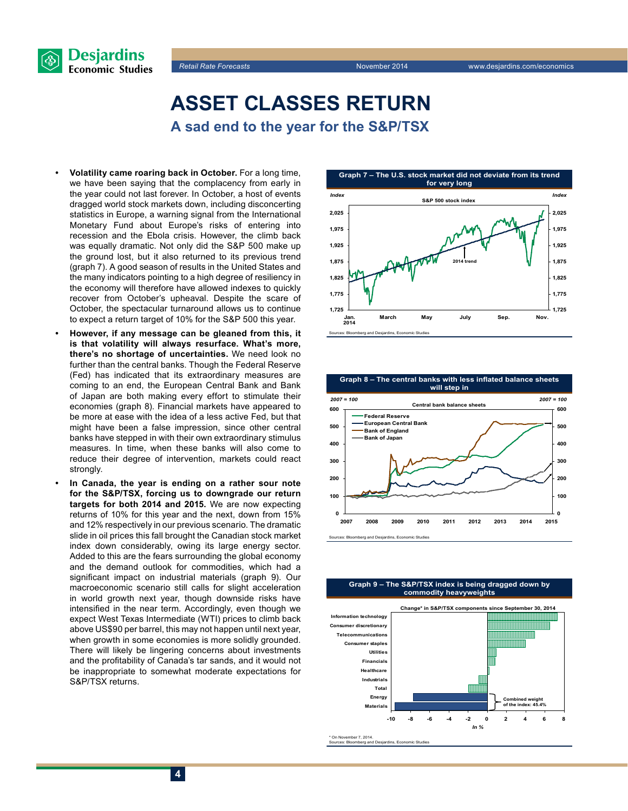



### **Asset classes return A sad end to the year for the S&P/TSX**

- **• Volatility came roaring back in October.** For a long time, we have been saying that the complacency from early in the year could not last forever. In October, a host of events dragged world stock markets down, including disconcerting statistics in Europe, a warning signal from the International Monetary Fund about Europe's risks of entering into recession and the Ebola crisis. However, the climb back was equally dramatic. Not only did the S&P 500 make up the ground lost, but it also returned to its previous trend (graph 7). A good season of results in the United States and the many indicators pointing to a high degree of resiliency in the economy will therefore have allowed indexes to quickly recover from October's upheaval. Despite the scare of October, the spectacular turnaround allows us to continue to expect a return target of 10% for the S&P 500 this year.
- **• However, if any message can be gleaned from this, it is that volatility will always resurface. What's more, there's no shortage of uncertainties.** We need look no further than the central banks. Though the Federal Reserve (Fed) has indicated that its extraordinary measures are coming to an end, the European Central Bank and Bank of Japan are both making every effort to stimulate their economies (graph 8). Financial markets have appeared to be more at ease with the idea of a less active Fed, but that might have been a false impression, since other central banks have stepped in with their own extraordinary stimulus measures. In time, when these banks will also come to reduce their degree of intervention, markets could react strongly.
- In Canada, the year is ending on a rather sour note **for the S&P/TSX, forcing us to downgrade our return targets for both 2014 and 2015.** We are now expecting returns of 10% for this year and the next, down from 15% and 12% respectively in our previous scenario. The dramatic slide in oil prices this fall brought the Canadian stock market index down considerably, owing its large energy sector. Added to this are the fears surrounding the global economy and the demand outlook for commodities, which had a significant impact on industrial materials (graph 9). Our macroeconomic scenario still calls for slight acceleration in world growth next year, though downside risks have intensified in the near term. Accordingly, even though we expect West Texas Intermediate (WTI) prices to climb back above US\$90 per barrel, this may not happen until next year, when growth in some economies is more solidly grounded. There will likely be lingering concerns about investments and the profitability of Canada's tar sands, and it would not be inappropriate to somewhat moderate expectations for S&P/TSX returns.





**Graph 9 – The S&P/TSX index is being dragged down by commodity heavyweights**